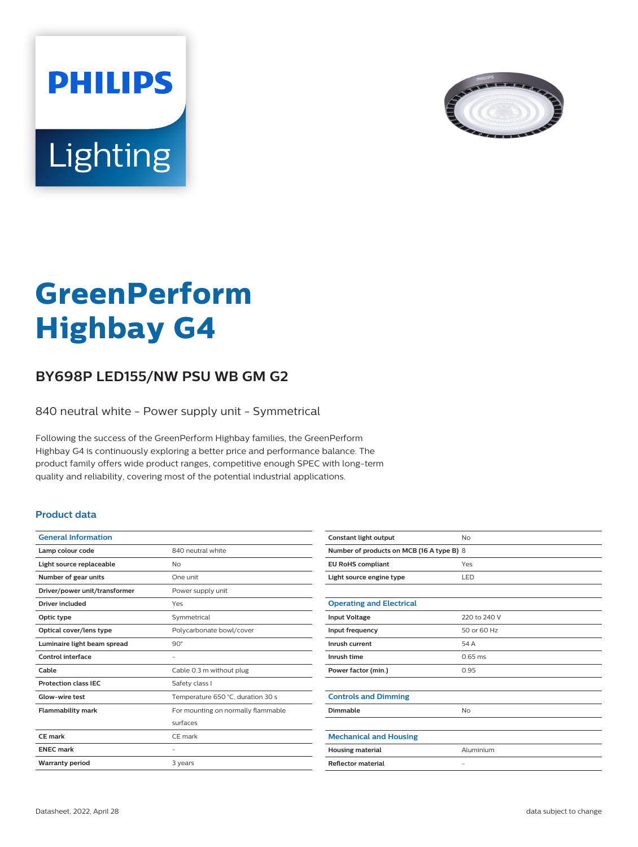



# **GreenPerform Highbay G4**

## **BY698P LED155/NW PSU WB GM G2**

840 neutral white - Power supply unit - Symmetrical

Following the success of the GreenPerform Highbay families, the GreenPerform Highbay G4 is continuously exploring a better price and performance balance. The product family offers wide product ranges, competitive enough SPEC with long-term quality and reliability, covering most of the potential industrial applications.

#### **Product data**

| <b>General Information</b>    |                                    |
|-------------------------------|------------------------------------|
| Lamp colour code              | 840 neutral white                  |
| Light source replaceable      | No                                 |
| Number of gear units          | One unit                           |
| Driver/power unit/transformer | Power supply unit                  |
| <b>Driver included</b>        | Yes                                |
| Optic type                    | Symmetrical                        |
| Optical cover/lens type       | Polycarbonate bowl/cover           |
| Luminaire light beam spread   | $90^\circ$                         |
| Control interface             |                                    |
| Cable                         | Cable 0.3 m without plug           |
| <b>Protection class IEC</b>   | Safety class I                     |
| Glow-wire test                | Temperature 650 °C, duration 30 s  |
| <b>Flammability mark</b>      | For mounting on normally flammable |
|                               | surfaces                           |
| CF mark                       | CE mark                            |
| <b>ENEC mark</b>              |                                    |
| <b>Warranty period</b>        | 3 years                            |
|                               |                                    |

| Constant light output                     | No                |  |
|-------------------------------------------|-------------------|--|
| Number of products on MCB (16 A type B) 8 |                   |  |
| <b>EU RoHS compliant</b>                  | Yes               |  |
| Light source engine type                  | LED               |  |
|                                           |                   |  |
| <b>Operating and Electrical</b>           |                   |  |
| <b>Input Voltage</b>                      | 220 to 240 V      |  |
| Input frequency                           | 50 or 60 Hz       |  |
| Inrush current                            | 54 A              |  |
| Inrush time                               | $0.65$ ms         |  |
| Power factor (min.)                       | 0.95              |  |
|                                           |                   |  |
| <b>Controls and Dimming</b>               |                   |  |
| Dimmable                                  | <b>No</b>         |  |
|                                           |                   |  |
| <b>Mechanical and Housing</b>             |                   |  |
| <b>Housing material</b>                   | Aluminium         |  |
| <b>Reflector material</b>                 | $\qquad \qquad -$ |  |
|                                           |                   |  |